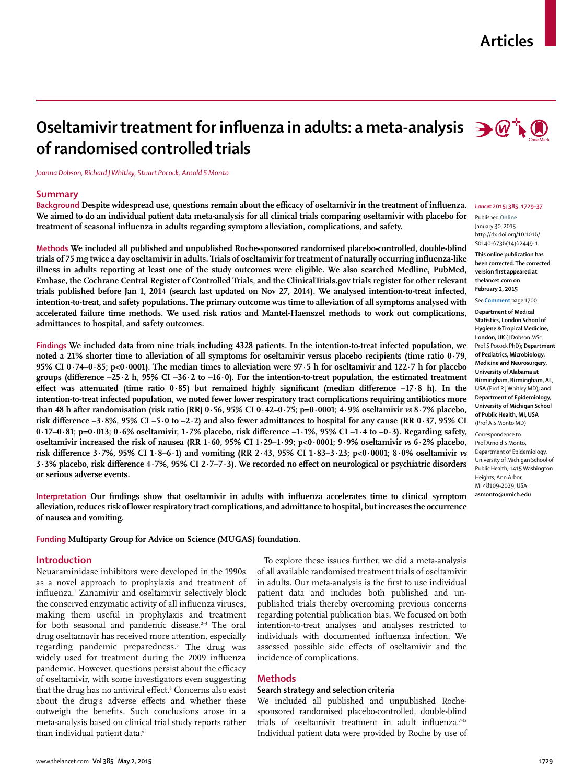## **Articles**



# **Oseltamivir treatment for influenza in adults: a meta-analysis**  $\rightarrow \mathbb{Q}$ **; of randomised controlled trials**

*Joanna Dobson, Richard J Whitley, Stuart Pocock, Arnold S Monto*

#### **Summary**

Background Despite widespread use, questions remain about the efficacy of oseltamivir in the treatment of influenza. **We aimed to do an individual patient data meta-analysis for all clinical trials comparing oseltamivir with placebo for**  treatment of seasonal influenza in adults regarding symptom alleviation, complications, and safety.

**Methods We included all published and unpublished Roche-sponsored randomised placebo-controlled, double-blind**  trials of 75 mg twice a day oseltamivir in adults. Trials of oseltamivir for treatment of naturally occurring influenza-like **illness in adults reporting at least one of the study outcomes were eligible. We also searched Medline, PubMed, Embase, the Cochrane Central Register of Controlled Trials, and the ClinicalTrials.gov trials register for other relevant trials published before Jan 1, 2014 (search last updated on Nov 27, 2014). We analysed intention-to-treat infected, intention-to-treat, and safety populations. The primary outcome was time to alleviation of all symptoms analysed with accelerated failure time methods. We used risk ratios and Mantel-Haenszel methods to work out complications, admittances to hospital, and safety outcomes.**

**Findings We included data from nine trials including 4328 patients. In the intention-to-treat infected population, we noted a 21% shorter time to alleviation of all symptoms for oseltamivir versus placebo recipients (time ratio 0·79, 95% CI 0·74–0·85; p<0·0001). The median times to alleviation were 97·5 h for oseltamivir and 122·7 h for placebo**  groups (difference  $-25.2$  h,  $95\%$  CI  $-36.2$  to  $-16.0$ ). For the intention-to-treat population, the estimated treatment effect was attenuated (time ratio  $0.85$ ) but remained highly significant (median difference  $-17.8$  h). In the **intention-to-treat infected population, we noted fewer lower respiratory tract complications requiring antibiotics more than 48 h after randomisation (risk ratio [RR] 0·56, 95% CI 0·42–0·75; p=0·0001; 4·9% oseltamivir** *vs* **8·7% placebo,**  risk difference -3·8%, 95% CI -5·0 to -2·2) and also fewer admittances to hospital for any cause (RR 0·37, 95% CI 0·17–0·81; p=0·013; 0·6% oseltamivir, 1·7% placebo, risk difference -1·1%, 95% CI -1·4 to -0·3). Regarding safety, **oseltamivir increased the risk of nausea (RR 1·60, 95% CI 1·29–1·99; p<0·0001; 9·9% oseltamivir** *vs* **6·2% placebo, risk difference 3**.7%, 95% CI 1.8-6.1) and vomiting (RR 2.43, 95% CI 1.83-3.23; p<0.0001; 8.0% oseltamivir *vs* 3·3% placebo, risk difference 4·7%, 95% CI 2·7-7·3). We recorded no effect on neurological or psychiatric disorders **or serious adverse events.**

Interpretation Our findings show that oseltamivir in adults with influenza accelerates time to clinical symptom **alleviation, reduces risk of lower respiratory tract complications, and admittance to hospital, but increases the occurrence of nausea and vomiting.**

**Funding Multiparty Group for Advice on Science (MUGAS) foundation.**

#### **Introduction**

Neuaraminidase inhibitors were developed in the 1990s as a novel approach to prophylaxis and treatment of influenza.<sup>1</sup> Zanamivir and oseltamivir selectively block the conserved enzymatic activity of all influenza viruses, making them useful in prophylaxis and treatment for both seasonal and pandemic disease.<sup>2-4</sup> The oral drug oseltamavir has received more attention, especially regarding pandemic preparedness.5 The drug was widely used for treatment during the 2009 influenza pandemic. However, questions persist about the efficacy of oseltamivir, with some investigators even suggesting that the drug has no antiviral effect.<sup>6</sup> Concerns also exist about the drug's adverse effects and whether these outweigh the benefits. Such conclusions arose in a meta-analysis based on clinical trial study reports rather than individual patient data.<sup>6</sup>

To explore these issues further, we did a meta-analysis of all available randomised treatment trials of oseltamivir in adults. Our meta-analysis is the first to use individual patient data and includes both published and unpublished trials thereby overcoming previous concerns regarding potential publication bias. We focused on both intention-to-treat analyses and analyses restricted to individuals with documented influenza infection. We assessed possible side effects of oseltamivir and the incidence of complications.

## **Methods**

## **Search strategy and selection criteria**

We included all published and unpublished Rochesponsored randomised placebo-controlled, double-blind trials of oseltamivir treatment in adult influenza.<sup>7-12</sup> Individual patient data were provided by Roche by use of

#### *Lancet* **2015; 385: 1729–37**

Published **Online** January 30, 2015 http://dx.doi.org/10.1016/ S0140-6736(14)62449-1

**This online publication has been corrected. The corrected version first appeared at thelancet.com on February 2, 2015**

#### See **Comment** page 1700

**Department of Medical Statistics, London School of Hygiene & Tropical Medicine, London, UK** (J Dobson MSc, Prof S Pocock PhD)**; Department of Pediatrics, Microbiology, Medicine and Neurosurgery, University of Alabama at Birmingham, Birmingham, AL, USA** (Prof R J Whitley MD)**; and Department of Epidemiology, University of Michigan School of Public Health, MI, USA**  (Prof A S Monto MD)

Correspondence to: Prof Arnold S Monto, Department of Epidemiology, University of Michigan School of Public Health, 1415 Washington Heights, Ann Arbor, MI 48109-2029, USA **asmonto@umich.edu**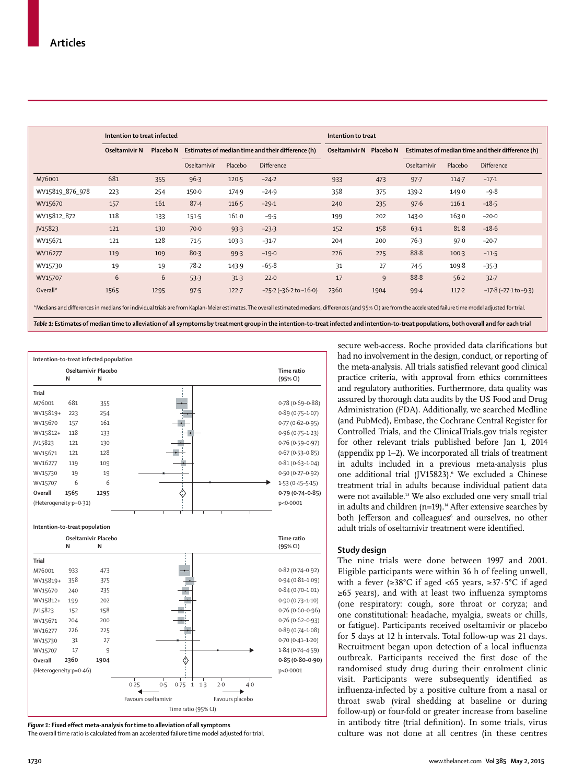|                 | Intention to treat infected |      |                                                             |         |                                | Intention to treat |                                                   |             |           |                          |  |
|-----------------|-----------------------------|------|-------------------------------------------------------------|---------|--------------------------------|--------------------|---------------------------------------------------|-------------|-----------|--------------------------|--|
|                 | Oseltamivir N               |      | Placebo N Estimates of median time and their difference (h) |         | Oseltamivir N Placebo N        |                    | Estimates of median time and their difference (h) |             |           |                          |  |
|                 |                             |      | Oseltamivir                                                 | Placebo | <b>Difference</b>              |                    |                                                   | Oseltamivir | Placebo   | Difference               |  |
| M76001          | 681                         | 355  | 96.3                                                        | $120-5$ | $-24.2$                        | 933                | 473                                               | $97 - 7$    | $114 - 7$ | $-17.1$                  |  |
| WV15819_876_978 | 223                         | 254  | 150.0                                                       | 174.9   | $-24.9$                        | 358                | 375                                               | 139.2       | 149.0     | $-9.8$                   |  |
| WV15670         | 157                         | 161  | 87.4                                                        | 116.5   | $-29.1$                        | 240                | 235                                               | 97.6        | 116.1     | $-18.5$                  |  |
| WV15812 872     | 118                         | 133  | 151.5                                                       | 161.0   | $-9.5$                         | 199                | 202                                               | 143.0       | 163.0     | $-20.0$                  |  |
| JV15823         | 121                         | 130  | $70-0$                                                      | 93.3    | $-23.3$                        | 152                | 158                                               | 63.1        | 81.8      | $-18.6$                  |  |
| WV15671         | 121                         | 128  | 71.5                                                        | 103.3   | $-31.7$                        | 204                | 200                                               | 76.3        | 97.0      | $-20-7$                  |  |
| WV16277         | 119                         | 109  | 80.3                                                        | 99.3    | $-19.0$                        | 226                | 225                                               | 88.8        | $100-3$   | $-11.5$                  |  |
| WV15730         | 19                          | 19   | 78.2                                                        | 143.9   | $-65.8$                        | 31                 | 27                                                | 74.5        | 109.8     | $-35.3$                  |  |
| WV15707         | 6                           | 6    | 53.3                                                        | 31.3    | 22.0                           | 17                 | 9                                                 | 88.8        | 56.2      | $32 - 7$                 |  |
| Overall*        | 1565                        | 1295 | 97.5                                                        | 122.7   | $-25.2$ ( $-36.2$ to $-16.0$ ) | 2360               | 1904                                              | 99.4        | 117.2     | $-17.8(-27.1$ to $-9.3)$ |  |

\*Medians and differences in medians for individual trials are from Kaplan-Meier estimates. The overall estimated medians, differences (and 95% CI) are from the accelerated failure time model adjusted for trial.

*Table 1:* **Estimates of median time to alleviation of all symptoms by treatment group in the intention-to-treat infected and intention-to-treat populations, both overall and for each trial**



Figure 1: Fixed effect meta-analysis for time to alleviation of all symptoms The overall time ratio is calculated from an accelerated failure time model adjusted for trial.

secure web-access. Roche provided data clarifications but had no involvement in the design, conduct, or reporting of the meta-analysis. All trials satisfied relevant good clinical practice criteria, with approval from ethics committees and regulatory authorities. Furthermore, data quality was assured by thorough data audits by the US Food and Drug Administration (FDA). Additionally, we searched Medline (and PubMed), Embase, the Cochrane Central Register for Controlled Trials, and the ClinicalTrials.gov trials register for other relevant trials published before Jan 1, 2014 (appendix pp 1–2). We incorporated all trials of treatment in adults included in a previous meta-analysis plus one additional trial (JV15823).<sup>6</sup> We excluded a Chinese treatment trial in adults because individual patient data were not available.<sup>13</sup> We also excluded one very small trial in adults and children (n=19). $14$  After extensive searches by both Jefferson and colleagues<sup>6</sup> and ourselves, no other adult trials of oseltamivir treatment were identified.

#### **Study design**

The nine trials were done between 1997 and 2001. Eligible participants were within 36 h of feeling unwell, with a fever (≥38°C if aged <65 years, ≥37·5°C if aged ≥65 years), and with at least two influenza symptoms (one respiratory: cough, sore throat or coryza; and one constitutional: headache, myalgia, sweats or chills, or fatigue). Participants received oseltamivir or placebo for 5 days at 12 h intervals. Total follow-up was 21 days. Recruitment began upon detection of a local influenza outbreak. Participants received the first dose of the randomised study drug during their enrolment clinic visit. Participants were subsequently identified as influenza-infected by a positive culture from a nasal or throat swab (viral shedding at baseline or during follow-up) or four-fold or greater increase from baseline in antibody titre (trial definition). In some trials, virus culture was not done at all centres (in these centres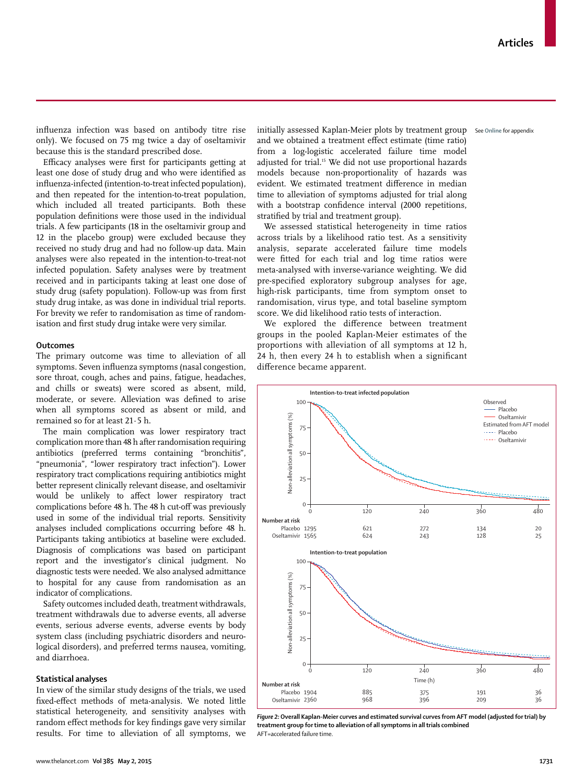influenza infection was based on antibody titre rise only). We focused on 75 mg twice a day of oseltamivir because this is the standard prescribed dose.

Efficacy analyses were first for participants getting at least one dose of study drug and who were identified as influenza-infected (intention-to-treat infected population), and then repeated for the intention-to-treat population, which included all treated participants. Both these population definitions were those used in the individual trials. A few participants (18 in the oseltamivir group and 12 in the placebo group) were excluded because they received no study drug and had no follow-up data. Main analyses were also repeated in the intention-to-treat-not infected population. Safety analyses were by treatment received and in participants taking at least one dose of study drug (safety population). Follow-up was from first study drug intake, as was done in individual trial reports. For brevity we refer to randomisation as time of randomisation and first study drug intake were very similar.

## **Outcomes**

The primary outcome was time to alleviation of all symptoms. Seven influenza symptoms (nasal congestion, sore throat, cough, aches and pains, fatigue, headaches, and chills or sweats) were scored as absent, mild, moderate, or severe. Alleviation was defined to arise when all symptoms scored as absent or mild, and remained so for at least 21·5 h.

The main complication was lower respiratory tract complication more than 48 h after randomisation requiring antibiotics (preferred terms containing "bronchitis", "pneumonia", "lower respiratory tract infection"). Lower respiratory tract complications requiring antibiotics might better represent clinically relevant disease, and oseltamivir would be unlikely to affect lower respiratory tract complications before 48 h. The 48 h cut-off was previously used in some of the individual trial reports. Sensitivity analyses included complications occurring before 48 h. Participants taking antibiotics at baseline were excluded. Diagnosis of complications was based on participant report and the investigator's clinical judgment. No diagnostic tests were needed. We also analysed admittance to hospital for any cause from randomisation as an indicator of complications.

Safety outcomes included death, treatment withdrawals, treatment withdrawals due to adverse events, all adverse events, serious adverse events, adverse events by body system class (including psychiatric disorders and neurological disorders), and preferred terms nausea, vomiting, and diarrhoea.

#### **Statistical analyses**

In view of the similar study designs of the trials, we used fixed-effect methods of meta-analysis. We noted little statistical heterogeneity, and sensitivity analyses with random effect methods for key findings gave very similar results. For time to alleviation of all symptoms, we

initially assessed Kaplan-Meier plots by treatment group See **Online** for appendix and we obtained a treatment effect estimate (time ratio) from a log-logistic accelerated failure time model adjusted for trial.15 We did not use proportional hazards models because non-proportionality of hazards was evident. We estimated treatment difference in median time to alleviation of symptoms adjusted for trial along with a bootstrap confidence interval (2000 repetitions, stratified by trial and treatment group).

We assessed statistical heterogeneity in time ratios across trials by a likelihood ratio test. As a sensitivity analysis, separate accelerated failure time models were fitted for each trial and log time ratios were meta-analysed with inverse-variance weighting. We did pre-specified exploratory subgroup analyses for age, high-risk participants, time from symptom onset to randomisation, virus type, and total baseline symptom score. We did likelihood ratio tests of interaction.

We explored the difference between treatment groups in the pooled Kaplan-Meier estimates of the proportions with alleviation of all symptoms at 12 h, 24 h, then every 24 h to establish when a significant difference became apparent.



*Figure 2:* **Overall Kaplan-Meier curves and estimated survival curves from AFT model (adjusted for trial) by treatment group for time to alleviation of all symptoms in all trials combined** AFT=accelerated failure time.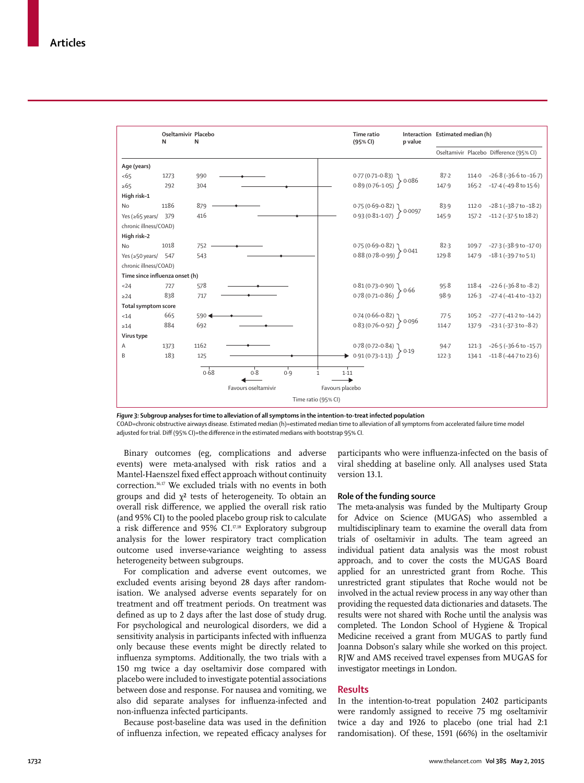|                                | Oseltamivir Placebo<br>N | N       |                     |                     |                      | Time ratio<br>(95% CI)                                                                                            | p value | Interaction Estimated median (h) |           |                                         |
|--------------------------------|--------------------------|---------|---------------------|---------------------|----------------------|-------------------------------------------------------------------------------------------------------------------|---------|----------------------------------|-----------|-----------------------------------------|
|                                |                          |         |                     |                     |                      |                                                                                                                   |         |                                  |           | Oseltamivir Placebo Difference (95% CI) |
| Age (years)                    |                          |         |                     |                     |                      |                                                                                                                   |         |                                  |           |                                         |
| $5 - 65$                       | 1273                     | 990     |                     |                     |                      | $0.77(0.71-0.83)$ 0.086<br>0.89 (0.76-1.05) 0.086                                                                 |         | 87.2                             |           | 114.0 $-26.8 (-36.6 \text{ to } -16.7)$ |
| $\geq 65$                      | 292                      | 304     |                     |                     |                      |                                                                                                                   |         | 147.9                            |           | $165.2 -17.4(-49.8 \text{ to } 15.6)$   |
| High risk-1                    |                          |         |                     |                     |                      |                                                                                                                   |         |                                  |           |                                         |
| <b>No</b>                      | 1186                     | 879     |                     |                     |                      | $0.75(0.69-0.82)$ 0.0097                                                                                          |         | 83.9                             | 112.0     | $-28.1$ ( $-38.7$ to $-18.2$ )          |
| Yes ( $\geq 65$ years/ 379     |                          | 416     |                     |                     |                      | $0.93(0.81 - 1.07)$                                                                                               |         | 145.9                            |           | 157-2 -11-2 (-37-5 to 18-2)             |
| chronic illness/COAD)          |                          |         |                     |                     |                      |                                                                                                                   |         |                                  |           |                                         |
| High risk-2                    |                          |         |                     |                     |                      |                                                                                                                   |         |                                  |           |                                         |
| <b>No</b>                      | 1018                     | 752     |                     |                     |                      | $0.75(0.69-0.82)$ 0.041<br>0.88 (0.78-0.99) 0.041                                                                 |         | 82.3                             |           | 109.7 -27.3 (-38.9 to -17.0)            |
| Yes ( $\geq$ 50 years/         | 547                      | 543     |                     |                     |                      |                                                                                                                   |         | 129.8                            | 147.9     | $-18.1(-39.7$ to $5.1)$                 |
| chronic illness/COAD)          |                          |         |                     |                     |                      |                                                                                                                   |         |                                  |           |                                         |
| Time since influenza onset (h) |                          |         |                     |                     |                      |                                                                                                                   |         |                                  |           |                                         |
| < 24                           | 727                      | 578     |                     |                     |                      | $\left. \begin{array}{l} 0.81 \, (0.73\hbox{--}0.90) \\ 0.78 \, (0.71\hbox{--}0.86) \end{array} \right\} \, 0.66$ |         | 95.8                             |           | 118.4 $-22.6 (-36.8$ to $-8.2)$         |
| $\geq$ 24                      | 838                      | 717     |                     |                     |                      |                                                                                                                   |         | 98.9                             |           | $126.3 -27.4(-41.4 \text{ to } -13.2)$  |
| Total symptom score            |                          |         |                     |                     |                      |                                                                                                                   |         |                                  |           |                                         |
| < 14                           | 665                      | $590 -$ |                     |                     |                      | $0.74 (0.66 - 0.82) 0.096$<br>0.83 (0.76-0.92) 0.096                                                              |         | 77.5                             | $105 - 2$ | $-27.7$ ( $-41.2$ to $-14.2$ )          |
| $\geq 14$                      | 884                      | 692     |                     |                     |                      |                                                                                                                   |         | 114.7                            |           | 137.9 -23.1 (-37.3 to -8.2)             |
| Virus type                     |                          |         |                     |                     |                      |                                                                                                                   |         |                                  |           |                                         |
| Α                              | 1373                     | 1162    |                     |                     |                      | $0.78(0.72 - 0.84)$                                                                                               | > 0.19  | $94 - 7$                         |           | 121.3 $-26.5$ ( $-36.6$ to $-15.7$ )    |
| B                              | 183                      | 125     |                     |                     |                      | $0.91(0.73 - 1.13)$                                                                                               |         | 122.3                            |           | 134.1 -11.8 (-44.7 to 23.6)             |
|                                |                          | 0.68    | 0.8                 | 0.9                 | 1.11<br>$\mathbf{1}$ |                                                                                                                   |         |                                  |           |                                         |
|                                |                          |         | Favours oseltamivir |                     | Favours placebo      |                                                                                                                   |         |                                  |           |                                         |
|                                |                          |         |                     | Time ratio (95% CI) |                      |                                                                                                                   |         |                                  |           |                                         |

*Figure 3:* **Subgroup analyses for time to alleviation of all symptoms in the intention-to-treat infected population**

COAD=chronic obstructive airways disease. Estimated median (h)=estimated median time to alleviation of all symptoms from accelerated failure time model adjusted for trial. Diff (95% CI)=the difference in the estimated medians with bootstrap 95% CI.

Binary outcomes (eg, complications and adverse events) were meta-analysed with risk ratios and a Mantel-Haenszel fixed effect approach without continuity correction.16,17 We excluded trials with no events in both groups and did  $\chi^2$  tests of heterogeneity. To obtain an overall risk difference, we applied the overall risk ratio (and 95% CI) to the pooled placebo group risk to calculate a risk difference and 95% CI. $17,18$  Exploratory subgroup analysis for the lower respiratory tract complication outcome used inverse-variance weighting to assess heterogeneity between subgroups.

For complication and adverse event outcomes, we excluded events arising beyond 28 days after randomisation. We analysed adverse events separately for on treatment and off treatment periods. On treatment was defined as up to 2 days after the last dose of study drug. For psychological and neurological disorders, we did a sensitivity analysis in participants infected with influenza only because these events might be directly related to influenza symptoms. Additionally, the two trials with a 150 mg twice a day oseltamivir dose compared with placebo were included to investigate potential associations between dose and response. For nausea and vomiting, we also did separate analyses for influenza-infected and non-influenza infected participants.

Because post-baseline data was used in the definition of influenza infection, we repeated efficacy analyses for participants who were influenza-infected on the basis of viral shedding at baseline only. All analyses used Stata version 13.1.

## **Role of the funding source**

The meta-analysis was funded by the Multiparty Group for Advice on Science (MUGAS) who assembled a multidisciplinary team to examine the overall data from trials of oseltamivir in adults. The team agreed an individual patient data analysis was the most robust approach, and to cover the costs the MUGAS Board applied for an unrestricted grant from Roche. This unrestricted grant stipulates that Roche would not be involved in the actual review process in any way other than providing the requested data dictionaries and datasets. The results were not shared with Roche until the analysis was completed. The London School of Hygiene & Tropical Medicine received a grant from MUGAS to partly fund Joanna Dobson's salary while she worked on this project. RJW and AMS received travel expenses from MUGAS for investigator meetings in London.

## **Results**

In the intention-to-treat population 2402 participants were randomly assigned to receive 75 mg oseltamivir twice a day and 1926 to placebo (one trial had 2:1 randomisation). Of these, 1591 (66%) in the oseltamivir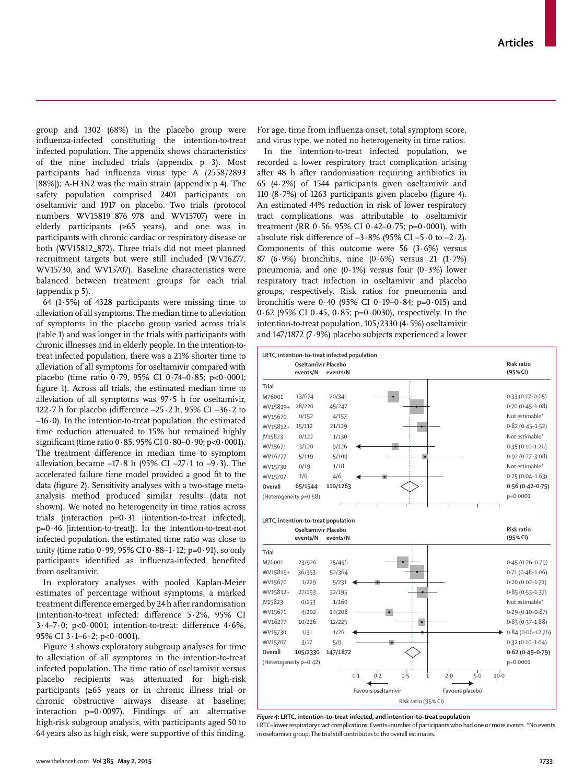group and 1302 (68%) in the placebo group were influenza-infected constituting the intention-to-treat infected population. The appendix shows characteristics of the nine included trials (appendix p 3). Most participants had influenza virus type A (2558/2893 [88%]); A-H3N2 was the main strain (appendix p 4). The safety population comprised 2401 participants on oseltamivir and 1917 on placebo. Two trials (protocol numbers WV15819\_876\_978 and WV15707) were in elderly participants (≥65 years), and one was in participants with chronic cardiac or respiratory disease or both (WV15812\_872). Three trials did not meet planned recruitment targets but were still included (WV16277, WV15730, and WV15707). Baseline characteristics were balanced between treatment groups for each trial (appendix p 5).

64 (1·5%) of 4328 participants were missing time to alleviation of all symptoms. The median time to alleviation of symptoms in the placebo group varied across trials (table 1) and was longer in the trials with participants with chronic illnesses and in elderly people. In the intention-totreat infected population, there was a 21% shorter time to alleviation of all symptoms for oseltamivir compared with placebo (time ratio 0·79, 95% CI 0·74–0·85; p<0·0001; figure 1). Across all trials, the estimated median time to alleviation of all symptoms was 97·5 h for oseltamivir, 122 $\cdot$ 7 h for placebo (difference  $-25\cdot2$  h, 95% CI  $-36\cdot2$  to  $-16.0$ ). In the intention-to-treat population, the estimated time reduction attenuated to 15% but remained highly significant (time ratio  $0.85$ ,  $95\%$  CI  $0.80-0.90$ ; p<0.0001). The treatment difference in median time to symptom alleviation became  $-17.8$  h (95% CI  $-27.1$  to  $-9.3$ ). The accelerated failure time model provided a good fit to the data (figure 2). Sensitivity analyses with a two-stage metaanalysis method produced similar results (data not shown). We noted no heterogeneity in time ratios across trials (interaction  $p=0.31$  [intention-to-treat infected], p=0·46 [intention-to-treat]). In the intention-to-treat-not infected population, the estimated time ratio was close to unity (time ratio  $0.99$ ,  $95\%$  CI  $0.88-1.12$ ; p= $0.91$ ), so only participants identified as influenza-infected benefited from oseltamivir.

In exploratory analyses with pooled Kaplan-Meier estimates of percentage without symptoms, a marked treatment difference emerged by 24 h after randomisation (intention-to-treat infected: difference 5.2%, 95% CI  $3.4 - 7.0$ ; p<0.0001; intention-to-treat: difference  $4.6\%$ , 95% CI 3·1–6·2; p<0·0001).

Figure 3 shows exploratory subgroup analyses for time to alleviation of all symptoms in the intention-to-treat infected population. The time ratio of oseltamivir versus placebo recipients was attenuated for high-risk participants (≥65 years or in chronic illness trial or chronic obstructive airways disease at baseline; interaction  $p=0.0097$ ). Findings of an alternative high-risk subgroup analysis, with participants aged 50 to 64 years also as high risk, were supportive of this finding.

For age, time from influenza onset, total symptom score, and virus type, we noted no heterogeneity in time ratios.

In the intention-to-treat infected population, we recorded a lower respiratory tract complication arising after 48 h after randomisation requiring antibiotics in 65 (4·2%) of 1544 participants given oseltamivir and 110 (8 $-7\%$ ) of 1263 participants given placebo (figure 4). An estimated 44% reduction in risk of lower respiratory tract complications was attributable to oseltamivir treatment (RR  $0.56$ , 95% CI  $0.42 - 0.75$ ; p=0.0001), with absolute risk difference of  $-3.8\%$  (95% CI  $-5.0$  to  $-2.2$ ). Components of this outcome were  $56$  ( $3.6\%$ ) versus 87 (6·9%) bronchitis, nine (0·6%) versus 21 (1·7%) pneumonia, and one  $(0.1%)$  versus four  $(0.3%)$  lower respiratory tract infection in oseltamivir and placebo groups, respectively. Risk ratios for pneumonia and bronchitis were 0·40 (95% CI 0·19–0·84; p=0·015) and 0.62 (95% CI 0.45, 0.85; p=0.0030), respectively. In the intention-to-treat population, 105/2330 (4·5%) oseltamivir and 147/1872 (7·9%) placebo subjects experienced a lower



*Figure 4:* **LRTC, intention-to-treat infected, and intention-to-treat population** LRTC=lower respiratory tract complications. Events=number of participants who had one or more events. \*No events in oseltamivir group. The trial still contributes to the overall estimates.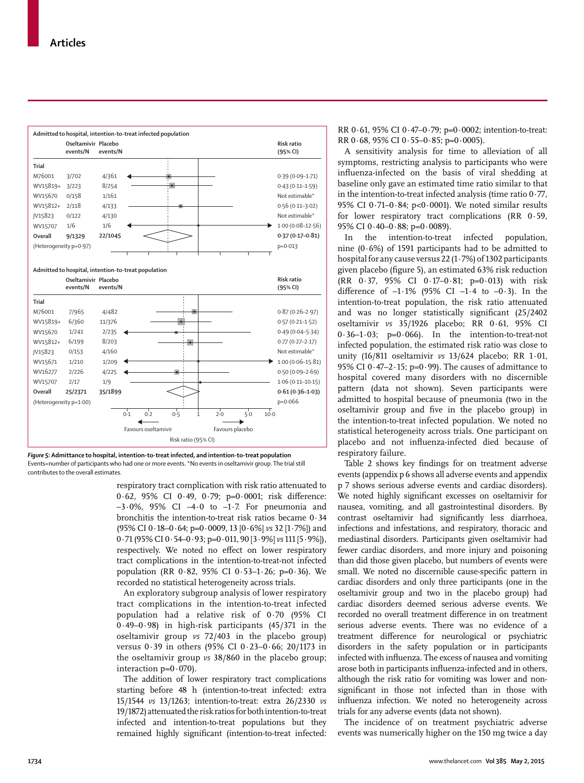

*Figure 5:* **Admittance to hospital, intention-to-treat infected, and intention-to-treat population** Events=number of participants who had one or more events. \*No events in oseltamivir group. The trial still contributes to the overall estimates.

respiratory tract complication with risk ratio attenuated to 0.62, 95% CI 0.49, 0.79; p=0.0001; risk difference:  $-3.0\%$ , 95% CI  $-4.0$  to  $-1.7$ . For pneumonia and bronchitis the intention-to-treat risk ratios became 0·34 (95% CI 0·18–0·64; p=0·0009, 13 [0·6%] *vs* 32 [1·7%]) and 0·71 (95% CI 0·54–0·93; p=0·011, 90 [3·9%] *vs* 111 [5·9%]), respectively. We noted no effect on lower respiratory tract complications in the intention-to-treat-not infected population (RR  $0.82$ , 95% CI  $0.53-1.26$ ; p=0.36). We recorded no statistical heterogeneity across trials.

An exploratory subgroup analysis of lower respiratory tract complications in the intention-to-treat infected population had a relative risk of 0·70 (95% CI 0·49–0·98) in high-risk participants (45/371 in the oseltamivir group *vs* 72/403 in the placebo group) versus 0·39 in others (95% CI 0·23–0·66; 20/1173 in the oseltamivir group *vs* 38/860 in the placebo group; interaction  $p=0.070$ ).

The addition of lower respiratory tract complications starting before 48 h (intention-to-treat infected: extra 15/1544 *vs* 13/1263; intention-to-treat: extra 26/2330 *vs* 19/1872) attenuated the risk ratios for both intention-to-treat infected and intention-to-treat populations but they remained highly significant (intention-to-treat infected: RR  $0.61$ , 95% CI  $0.47-0.79$ ; p= $0.0002$ ; intention-to-treat: RR  $0.68$ , 95% CI  $0.55-0.85$ ; p=0.0005).

A sensitivity analysis for time to alleviation of all symptoms, restricting analysis to participants who were influenza-infected on the basis of viral shedding at baseline only gave an estimated time ratio similar to that in the intention-to-treat infected analysis (time ratio 0·77, 95% CI 0·71–0·84; p<0·0001). We noted similar results for lower respiratory tract complications (RR 0·59, 95% CI 0·40–0·88; p=0·0089).

In the intention-to-treat infected population, nine  $(0.6\%)$  of 1591 participants had to be admitted to hospital for any cause versus 22 (1·7%) of 1302 participants given placebo (figure 5), an estimated 63% risk reduction (RR 0·37, 95% CI 0·17–0·81; p=0·013) with risk difference of  $-1.1\%$  (95% CI  $-1.4$  to  $-0.3$ ). In the intention-to-treat population, the risk ratio attenuated and was no longer statistically significant  $(25/2402)$ oseltamivir *vs* 35/1926 placebo; RR 0·61, 95% CI  $0.36-1.03$ ;  $p=0.066$ ). In the intention-to-treat-not infected population, the estimated risk ratio was close to unity (16/811 oseltamivir *vs* 13/624 placebo; RR 1·01, 95% CI  $0.47-2.15$ ; p=0.99). The causes of admittance to hospital covered many disorders with no discernible pattern (data not shown). Seven participants were admitted to hospital because of pneumonia (two in the oseltamivir group and five in the placebo group) in the intention-to-treat infected population. We noted no statistical heterogeneity across trials. One participant on placebo and not influenza-infected died because of respiratory failure.

Table 2 shows key findings for on treatment adverse events (appendix p 6 shows all adverse events and appendix p 7 shows serious adverse events and cardiac disorders). We noted highly significant excesses on oseltamivir for nausea, vomiting, and all gastrointestinal disorders. By contrast oseltamivir had significantly less diarrhoea, infections and infestations, and respiratory, thoracic and mediastinal disorders. Participants given oseltamivir had fewer cardiac disorders, and more injury and poisoning than did those given placebo, but numbers of events were small. We noted no discernible cause-specific pattern in cardiac disorders and only three participants (one in the oseltamivir group and two in the placebo group) had cardiac disorders deemed serious adverse events. We recorded no overall treatment difference in on treatment serious adverse events. There was no evidence of a treatment difference for neurological or psychiatric disorders in the safety population or in participants infected with influenza. The excess of nausea and vomiting arose both in participants influenza-infected and in others, although the risk ratio for vomiting was lower and nonsignificant in those not infected than in those with influenza infection. We noted no heterogeneity across trials for any adverse events (data not shown).

The incidence of on treatment psychiatric adverse events was numerically higher on the 150 mg twice a day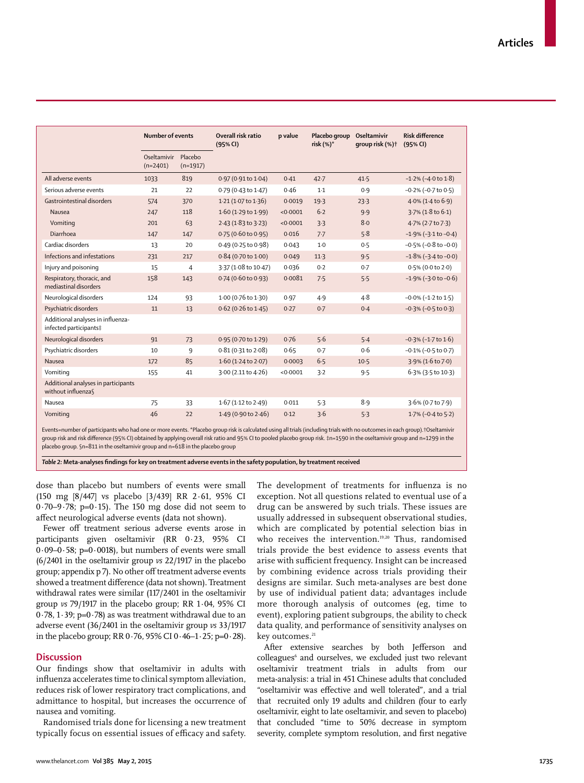|                                                             | <b>Number of events</b>   |                       | Overall risk ratio<br>(95% CI) | p value  | Placebo group<br>risk $(%)^*$ | Oseltamivir<br>qroup risk (%) <sup>+</sup> | <b>Risk difference</b><br>(95% CI) |  |
|-------------------------------------------------------------|---------------------------|-----------------------|--------------------------------|----------|-------------------------------|--------------------------------------------|------------------------------------|--|
|                                                             | Oseltamivir<br>$(n=2401)$ | Placebo<br>$(n=1917)$ |                                |          |                               |                                            |                                    |  |
| All adverse events                                          | 1033                      | 819                   | $0.97(0.91 \text{ to } 1.04)$  | 0.41     | $42 - 7$                      | 41.5                                       | $-1.2\%$ ( $-4.0$ to $1.8$ )       |  |
| Serious adverse events                                      | 21                        | 22                    | 0.79 (0.43 to 1.47)            | 0.46     | $1-1$                         | 0.9                                        | $-0.2\%$ ( $-0.7$ to $0.5$ )       |  |
| Gastrointestinal disorders                                  | 574                       | 370                   | 1.21(1.07 to 1.36)             | 0.0019   | 19.3                          | 23.3                                       | $4.0\%$ (1.4 to 6.9)               |  |
| Nausea                                                      | 247                       | 118                   | 1.60(1.29 to 1.99)             | < 0.0001 | $6-2$                         | 9.9                                        | $3.7\%$ (1.8 to 6.1)               |  |
| Vomiting                                                    | 201                       | 63                    | $2.43(1.83 \text{ to } 3.23)$  | < 0.0001 | 3.3                           | 8.0                                        | 4.7% (2.7 to 7.3)                  |  |
| Diarrhoea                                                   | 147                       | 147                   | $0.75(0.60 \text{ to } 0.95)$  | 0.016    | 7.7                           | 5.8                                        | $-1.9\%$ ( $-3.1$ to $-0.4$ )      |  |
| Cardiac disorders                                           | 13                        | 20                    | 0.49 (0.25 to 0.98)            | 0.043    | $1-0$                         | 0.5                                        | $-0.5\%$ ( $-0.8$ to $-0.0$ )      |  |
| Infections and infestations                                 | 231                       | 217                   | 0.84 (0.70 to 1.00)            | 0.049    | 11.3                          | 9.5                                        | $-1.8\%$ ( $-3.4$ to $-0.0$ )      |  |
| Injury and poisoning                                        | 15                        | $\overline{4}$        | 3.37 (1.08 to 10.47)           | 0.036    | 0.2                           | 0.7                                        | $0.5\%$ (0.0 to 2.0)               |  |
| Respiratory, thoracic, and<br>mediastinal disorders         | 158                       | 143                   | $0.74$ (0.60 to 0.93)          | 0.0081   | 7.5                           | 5.5                                        | $-1.9\%$ ( $-3.0$ to $-0.6$ )      |  |
| Neurological disorders                                      | 124                       | 93                    | 1.00 (0.76 to 1.30)            | 0.97     | 4.9                           | $4 - 8$                                    | $-0.0\%$ ( $-1.2$ to $1.5$ )       |  |
| Psychiatric disorders                                       | 11                        | 13                    | $0.62$ (0.26 to 1.45)          | 0.27     | 0.7                           | 0.4                                        | $-0.3\%$ ( $-0.5$ to 0.3)          |  |
| Additional analyses in influenza-<br>infected participants‡ |                           |                       |                                |          |                               |                                            |                                    |  |
| Neurological disorders                                      | 91                        | 73                    | 0.95 (0.70 to 1.29)            | 0.76     | 5.6                           | 5.4                                        | $-0.3\%$ ( $-1.7$ to $1.6$ )       |  |
| Psychiatric disorders                                       | 10                        | 9                     | $0.81(0.31$ to $2.08$ )        | 0.65     | 0.7                           | 0.6                                        | $-0.1\%$ ( $-0.5$ to 0.7)          |  |
| Nausea                                                      | 172                       | 85                    | 1.60(1.24 to 2.07)             | 0.0003   | 6.5                           | $10-5$                                     | 3.9% (1.6 to 7.0)                  |  |
| Vomiting                                                    | 155                       | 41                    | 3.00(2.11 to 4.26)             | < 0.0001 | 3.2                           | 9.5                                        | 6.3% (3.5 to 10.3)                 |  |
| Additional analyses in participants<br>without influenza    |                           |                       |                                |          |                               |                                            |                                    |  |
| Nausea                                                      | 75                        | 33                    | $1.67(1.12 \text{ to } 2.49)$  | 0.011    | 5.3                           | 8.9                                        | 3.6% (0.7 to 7.9)                  |  |
| Vomiting                                                    | 46                        | 22                    | 1.49 (0.90 to 2.46)            | 0.12     | 3.6                           | 5.3                                        | $1.7\%$ (-0.4 to 5.2)              |  |

Events=number of participants who had one or more events. \*Placebo group risk is calculated using all trials (including trials with no outcomes in each group).†Oseltamivir group risk and risk difference (95% CI) obtained by applying overall risk ratio and 95% CI to pooled placebo group risk. ‡n=1590 in the oseltamivir group and n=1299 in the placebo group. §n=811 in the oseltamivir group and n=618 in the placebo group

*Table 2:* **Meta-analyses fi ndings for key on treatment adverse events in the safety population, by treatment received**

dose than placebo but numbers of events were small (150 mg [8/447] vs placebo [3/439] RR 2·61, 95% CI 0·70–9·78; p=0·15). The 150 mg dose did not seem to affect neurological adverse events (data not shown).

Fewer off treatment serious adverse events arose in participants given oseltamivir (RR 0·23, 95% CI  $0.09-0.58$ ; p= $0.0018$ ), but numbers of events were small (6/2401 in the oseltamivir group *vs* 22/1917 in the placebo group; appendix p 7). No other off treatment adverse events showed a treatment difference (data not shown). Treatment withdrawal rates were similar (117/2401 in the oseltamivir group *vs* 79/1917 in the placebo group; RR 1·04, 95% CI 0 $\cdot$ 78, 1 $\cdot$ 39; p=0 $\cdot$ 78) as was treatment withdrawal due to an adverse event (36/2401 in the oseltamivir group *vs* 33/1917 in the placebo group; RR 0.76, 95% CI 0.46-1.25; p=0.28).

#### **Discussion**

Our findings show that oseltamivir in adults with influenza accelerates time to clinical symptom alleviation, reduces risk of lower respiratory tract complications, and admittance to hospital, but increases the occurrence of nausea and vomiting.

Randomised trials done for licensing a new treatment typically focus on essential issues of efficacy and safety. The development of treatments for influenza is no exception. Not all questions related to eventual use of a drug can be answered by such trials. These issues are usually addressed in subsequent observational studies, which are complicated by potential selection bias in who receives the intervention.<sup>19,20</sup> Thus, randomised trials provide the best evidence to assess events that arise with sufficient frequency. Insight can be increased by combining evidence across trials providing their designs are similar. Such meta-analyses are best done by use of individual patient data; advantages include more thorough analysis of outcomes (eg, time to event), exploring patient subgroups, the ability to check data quality, and performance of sensitivity analyses on key outcomes.<sup>21</sup>

After extensive searches by both Jefferson and colleagues<sup>6</sup> and ourselves, we excluded just two relevant oseltamivir treatment trials in adults from our meta-analysis: a trial in 451 Chinese adults that concluded "oseltamivir was effective and well tolerated", and a trial that recruited only 19 adults and children (four to early oseltamivir, eight to late oseltamivir, and seven to placebo) that concluded "time to 50% decrease in symptom severity, complete symptom resolution, and first negative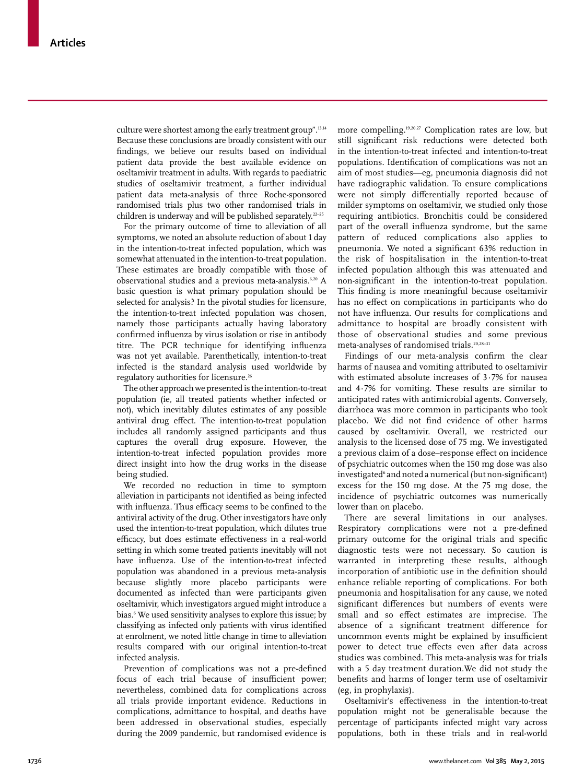culture were shortest among the early treatment group".<sup>13,14</sup> Because these conclusions are broadly consistent with our findings, we believe our results based on individual patient data provide the best available evidence on oseltamivir treatment in adults. With regards to paediatric studies of oseltamivir treatment, a further individual patient data meta-analysis of three Roche-sponsored randomised trials plus two other randomised trials in children is underway and will be published separately.<sup>22-25</sup>

For the primary outcome of time to alleviation of all symptoms, we noted an absolute reduction of about 1 day in the intention-to-treat infected population, which was somewhat attenuated in the intention-to-treat population. These estimates are broadly compatible with those of observational studies and a previous meta-analysis.<sup>6,20</sup> A basic question is what primary population should be selected for analysis? In the pivotal studies for licensure, the intention-to-treat infected population was chosen, namely those participants actually having laboratory confirmed influenza by virus isolation or rise in antibody titre. The PCR technique for identifying influenza was not yet available. Parenthetically, intention-to-treat infected is the standard analysis used worldwide by regulatory authorities for licensure.26

The other approach we presented is the intention-to-treat population (ie, all treated patients whether infected or not), which inevitably dilutes estimates of any possible antiviral drug effect. The intention-to-treat population includes all randomly assigned participants and thus captures the overall drug exposure. However, the intention-to-treat infected population provides more direct insight into how the drug works in the disease being studied.

We recorded no reduction in time to symptom alleviation in participants not identified as being infected with influenza. Thus efficacy seems to be confined to the antiviral activity of the drug. Other investigators have only used the intention-to-treat population, which dilutes true efficacy, but does estimate effectiveness in a real-world setting in which some treated patients inevitably will not have influenza. Use of the intention-to-treat infected population was abandoned in a previous meta-analysis because slightly more placebo participants were documented as infected than were participants given oseltamivir, which investigators argued might introduce a bias.6 We used sensitivity analyses to explore this issue; by classifying as infected only patients with virus identified at enrolment, we noted little change in time to alleviation results compared with our original intention-to-treat infected analysis.

Prevention of complications was not a pre-defined focus of each trial because of insufficient power; nevertheless, combined data for complications across all trials provide important evidence. Reductions in complications, admittance to hospital, and deaths have been addressed in observational studies, especially during the 2009 pandemic, but randomised evidence is more compelling.19,20,27 Complication rates are low, but still significant risk reductions were detected both in the intention-to-treat infected and intention-to-treat populations. Identification of complications was not an aim of most studies—eg, pneumonia diagnosis did not have radiographic validation. To ensure complications were not simply differentially reported because of milder symptoms on oseltamivir, we studied only those requiring antibiotics. Bronchitis could be considered part of the overall influenza syndrome, but the same pattern of reduced complications also applies to pneumonia. We noted a significant 63% reduction in the risk of hospitalisation in the intention-to-treat infected population although this was attenuated and non-significant in the intention-to-treat population. This finding is more meaningful because oseltamivir has no effect on complications in participants who do not have influenza. Our results for complications and admittance to hospital are broadly consistent with those of observational studies and some previous meta-analyses of randomised trials.20,28–31

Findings of our meta-analysis confirm the clear harms of nausea and vomiting attributed to oseltamivir with estimated absolute increases of 3·7% for nausea and 4·7% for vomiting. These results are similar to anticipated rates with antimicrobial agents. Conversely, diarrhoea was more common in participants who took placebo. We did not find evidence of other harms caused by oseltamivir. Overall, we restricted our analysis to the licensed dose of 75 mg. We investigated a previous claim of a dose–response effect on incidence of psychiatric outcomes when the 150 mg dose was also investigated<sup>6</sup> and noted a numerical (but non-significant) excess for the 150 mg dose. At the 75 mg dose, the incidence of psychiatric outcomes was numerically lower than on placebo.

There are several limitations in our analyses. Respiratory complications were not a pre-defined primary outcome for the original trials and specific diagnostic tests were not necessary. So caution is warranted in interpreting these results, although incorporation of antibiotic use in the definition should enhance reliable reporting of complications. For both pneumonia and hospitalisation for any cause, we noted significant differences but numbers of events were small and so effect estimates are imprecise. The absence of a significant treatment difference for uncommon events might be explained by insufficient power to detect true effects even after data across studies was combined. This meta-analysis was for trials with a 5 day treatment duration.We did not study the benefits and harms of longer term use of oseltamivir (eg, in prophylaxis).

Oseltamivir's effectiveness in the intention-to-treat population might not be generalisable because the percentage of participants infected might vary across populations, both in these trials and in real-world